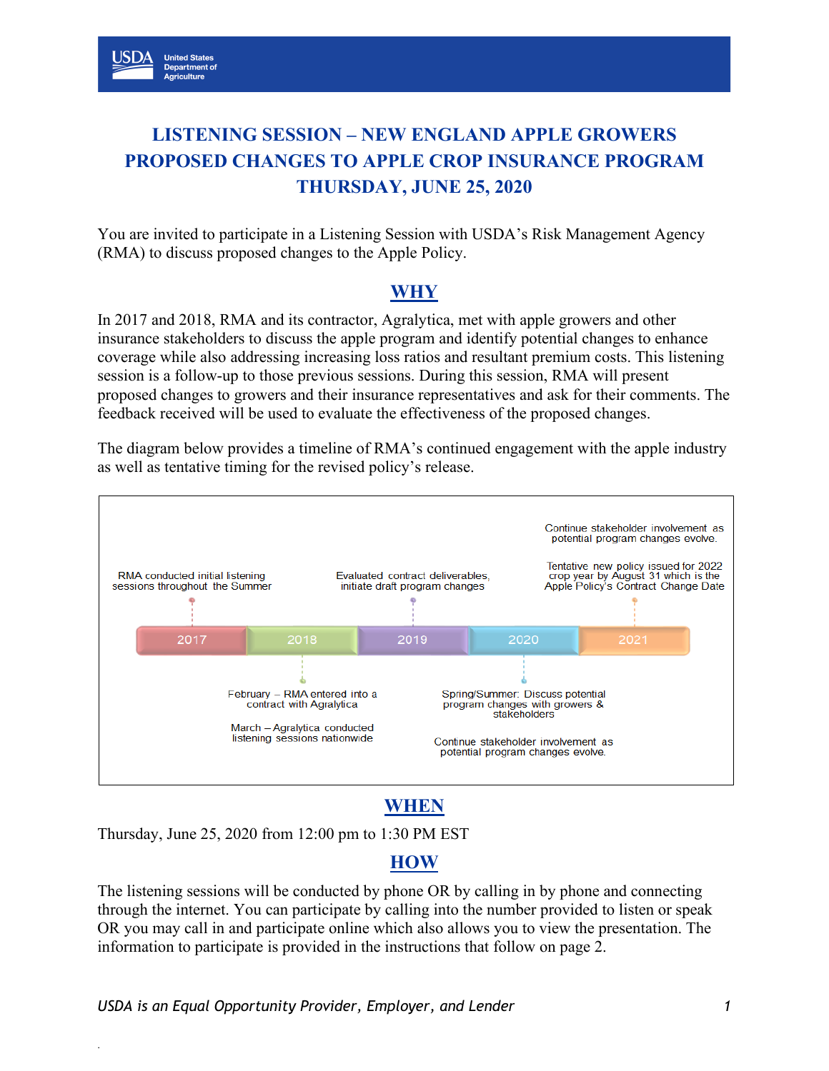# **LISTENING SESSION – NEW ENGLAND APPLE GROWERS PROPOSED CHANGES TO APPLE CROP INSURANCE PROGRAM THURSDAY, JUNE 25, 2020**

You are invited to participate in a Listening Session with USDA's Risk Management Agency (RMA) to discuss proposed changes to the Apple Policy.

### **WHY**

In 2017 and 2018, RMA and its contractor, Agralytica, met with apple growers and other insurance stakeholders to discuss the apple program and identify potential changes to enhance coverage while also addressing increasing loss ratios and resultant premium costs. This listening session is a follow-up to those previous sessions. During this session, RMA will present proposed changes to growers and their insurance representatives and ask for their comments. The feedback received will be used to evaluate the effectiveness of the proposed changes.

The diagram below provides a timeline of RMA's continued engagement with the apple industry as well as tentative timing for the revised policy's release.



## **WHEN**

Thursday, June 25, 2020 from 12:00 pm to 1:30 PM EST

### **HOW**

The listening sessions will be conducted by phone OR by calling in by phone and connecting through the internet. You can participate by calling into the number provided to listen or speak OR you may call in and participate online which also allows you to view the presentation. The information to participate is provided in the instructions that follow on page 2.

.